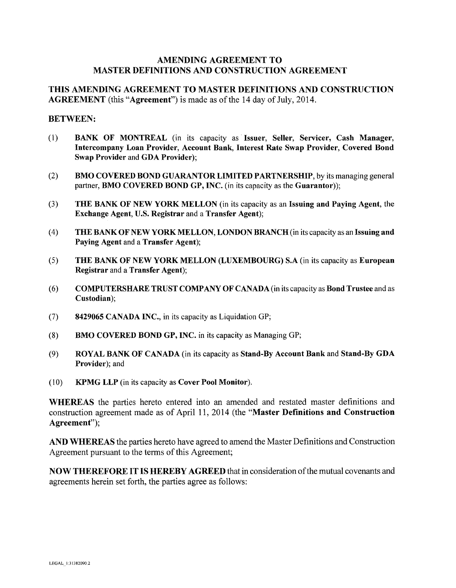## AMENDING AGREEMENT TO MASTER DEFINITIONS AND CONSTRUCTION AGREEMENT

## THIS AMENDING AGREEMENT TO MASTER DEFINITIONS AND CONSTRUCTION AGREEMENT (this "Agreement") is made as of the 14 day of July, 2014.

#### BETWEEN:

- (I) BANK OF MONTREAL (in its capacity as Issuer, Seller, Servicer, Cash Manager, Intercompany Loan Provider, Account Bank, Interest Rate Swap Provider, Covered Bond Swap Provider and GDA Provider);
- (2) BMO COVERED BOND GUARANTOR LIMITED PARTNERSHIP, by its managing general partner, **BMO COVERED BOND GP, INC.** (in its capacity as the **Guarantor**));
- (3) THE BANK OF NEW YORK MELLON (in its capacity as an Issuing and Paying Agent, the Exchange Agent, U.S. Registrar and a Transfer Agent);
- ( 4) THE BANK OF NEW YORK MELLON, LONDON BRANCH (in its capacity as an Issuing and Paying Agent and a Transfer Agent);
- (5) THE BANK OF NEW YORK MELLON (LUXEMBOURG) S.A (in its capacity as European Registrar and a Transfer Agent);
- (6) COMPUTERSHARE TRUST COMPANY OF CANADA (in its capacity as Bond Trustee and as Custodian);
- (7) 8429065 CANADA INC., in its capacity as Liquidation GP;
- (8) BMO COVERED BOND GP, INC. in its capacity as Managing GP;
- (9) ROYAL BANK OF CANADA (in its capacity as Stand-By Account Bank and Stand-By GDA Provider); and
- (10) KPMG LLP (in its capacity as Cover Pool Monitor).

WHEREAS the parties hereto entered into an amended and restated master definitions and construction agreement made as of April 11, 2014 (the "Master Definitions and Construction Agreement");

AND WHEREAS the parties hereto have agreed to amend the Master Definitions and Construction Agreement pursuant to the terms of this Agreement;

NOW THEREFORE IT IS HEREBY AGREED that in consideration of the mutual covenants and agreements herein set forth, the parties agree as follows: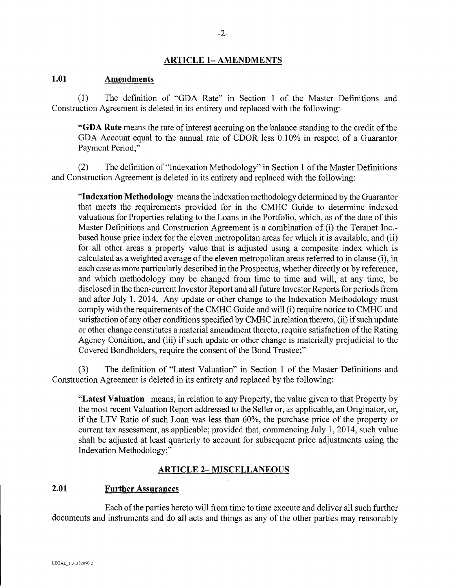## **ARTICLE 1- AMENDMENTS**

#### **1.01 Amendments**

(1) The definition of "GDA Rate" in Section 1 of the Master Definitions and Construction Agreement is deleted in its entirety and replaced with the following:

**"GDA Rate** means the rate of interest accruing on the balance standing to the credit of the GDA Account equal to the annual rate of CDOR less 0.10% in respect of a Guarantor Payment Period;"

(2) The definition of"Indexation Methodology" in Section 1 of the Master Definitions and Construction Agreement is deleted in its entirety and replaced with the following:

**"Indexation Methodology** means the indexation methodology determined by the Guarantor that meets the requirements provided for in the CMHC Guide to determine indexed valuations for Properties relating to the Loans in the Portfolio, which, as of the date of this Master Definitions and Construction Agreement is a combination of (i) the Teranet Inc. based house price index for the eleven metropolitan areas for which it is available, and (ii) for all other areas a property value that is adjusted using a composite index which is calculated as a weighted average of the eleven metropolitan areas referred to in clause (i), in each case as more particularly described in the Prospectus, whether directly or by reference, and which methodology may be changed from time to time and will, at any time, be disclosed in the then-current Investor Report and all future Investor Reports for periods from and after July 1, 2014. Any update or other change to the Indexation Methodology must comply with the requirements of the CMHC Guide and will (i) require notice to CMHC and satisfaction of any other conditions specified by CMHC in relation thereto, (ii) if such update or other change constitutes a material amendment thereto, require satisfaction of the Rating Agency Condition, and (iii) if such update or other change is materially prejudicial to the Covered Bondholders, require the consent of the Bond Trustee;"

(3) The definition of "Latest Valuation" in Section 1 of the Master Definitions and Construction Agreement is deleted in its entirety and replaced by the following:

**"Latest Valuation** means, in relation to any Property, the value given to that Property by the most recent Valuation Report addressed to the Seller or, as applicable, an Originator, or, if the LTV Ratio of such Loan was less than 60%, the purchase price of the property or current tax assessment, as applicable; provided that, commencing July 1, 2014, such value shall be adjusted at least quarterly to account for subsequent price adjustments using the Indexation Methodology;"

# **ARTICLE 2- MISCELLANEOUS**

# **2.01 Further Assurances**

Each of the parties hereto will from time to time execute and deliver all such further documents and instruments and do all acts and things as any of the other parties may reasonably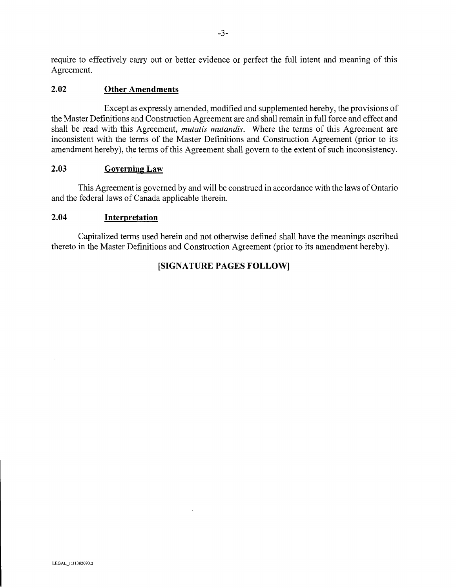require to effectively carry out or better evidence or perfect the full intent and meaning of this Agreement.

## **2.02 Other Amendments**

Except as expressly amended, modified and supplemented hereby, the provisions of the Master Definitions and Construction Agreement are and shall remain in full force and effect and shall be read with this Agreement, *mutatis mutandis.* Where the terms of this Agreement are inconsistent with the terms of the Master Definitions and Construction Agreement (prior to its amendment hereby), the terms of this Agreement shall govern to the extent of such inconsistency.

## **2.03 Governing Law**

This Agreement is governed by and will be construed in accordance with the laws of Ontario and the federal laws of Canada applicable therein.

# **2.04 Interpretation**

Capitalized terms used herein and not otherwise defined shall have the meanings ascribed thereto in the Master Definitions and Construction Agreement (prior to its amendment hereby).

# **[SIGNATURE PAGES FOLLOW]**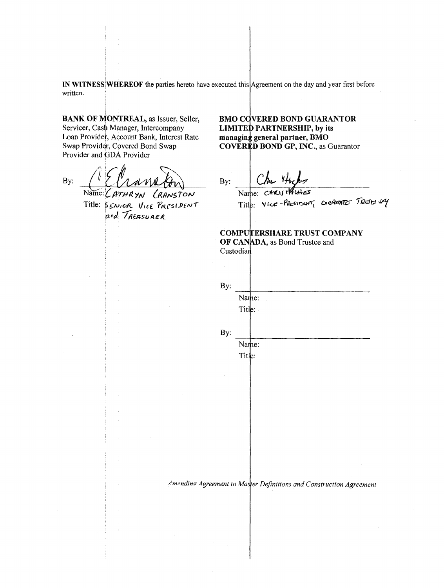IN WITNESS WHEREOF the parties hereto have executed this Agreement on the day and year first before written.

**BANK OF MONTREAL, as Issuer, Seller,** Servicer, Cash Manager, Intercompany Loan Provider, Account Bank, Interest Rate Swap Provider, Covered Bond Swap Provider and GDA Provider

By: Name:  $CATHRYN$ CRANSTON

Title: SENIOR VICE PRESIDENT and TREASURER

**BMO COVERED BOND GUARANTOR LIMITED PARTNERSHIP, by its** managing general partner, BMO **COVERED BOND GP, INC., as Guarantor** 

By:

Name: CHRIS HAGHES Title: Vice-PRESIDANT CORRENTED TRUST VAY

**COMPUTERSHARE TRUST COMPANY** 

OF CANADA, as Bond Trustee and Custodian

By: Name: Title: By: Name: Title: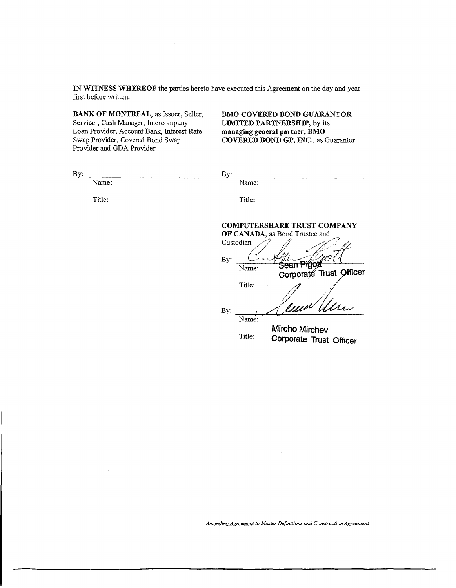IN WITNESS WHEREOF the parties hereto have executed this Agreement on the day and year first before written.

BANK OF MONTREAL, as Issuer, Seller, Servicer, Cash Manager, Intercompany Loan Provider, Account Bank, Interest Rate Swap Provider, Covered Bond Swap Provider and GDA Provider

 $\bar{z}$ 

BMO COVERED BOND GUARANTOR LIMITED PARTNERSHIP, by its managing general partner, BMO COVERED BOND GP, INC., as Guarantor

| By: |        | By:                                                                                                                                          |
|-----|--------|----------------------------------------------------------------------------------------------------------------------------------------------|
|     | Name:  | Name:                                                                                                                                        |
|     | Title: | Title:                                                                                                                                       |
|     |        | COMPUTERSHARE TRUST COMPANY<br>OF CANADA, as Bond Trustee and<br>Custodian<br>By:<br>Sean Pigo<br>Name:<br>Corporate Trust Officer<br>Title: |
|     |        | Cura Ulun<br>By:<br>Name:                                                                                                                    |
|     |        | <b>Mircho Mirchev</b><br>Title:<br>Corporate Trust Officer                                                                                   |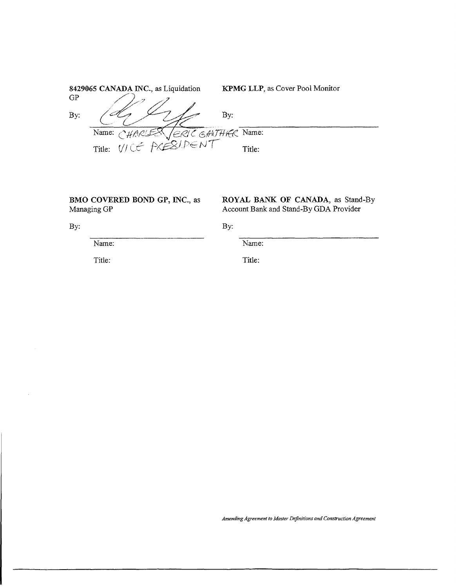|     | 8429065 CANADA INC., as Liquidation                               | <b>KPMG LLP, as Cover Pool Monitor</b> |
|-----|-------------------------------------------------------------------|----------------------------------------|
| GP  |                                                                   |                                        |
| By: |                                                                   | By:                                    |
|     | (ERIC GANTHER Name:<br>Name: $\bigwedge^2 \mathcal{U}$<br>HARLES\ |                                        |
|     | Title: VICE PRESIDENT                                             | Title:                                 |

**BMO COVERED BOND GP,** INC., as Managing GP

**ROYAL BANK OF CANADA,** as Stand-By Account Bank and Stand-By GDA Provider

By:

By:

Name:

Title:

Name:

Title: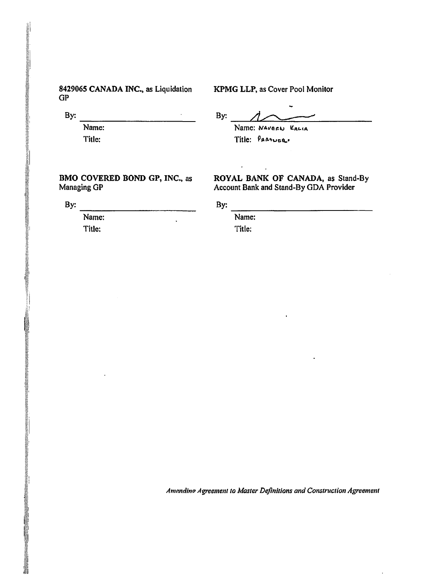### 8429065 CANADA INC., as Liquidation GP

KPMG LLP, as Cover Pool Monitor

 $\mathsf{By:}\n \overline{\phantom{aaaaa}\phantom{aaaaaa}}\phantom{aaaaaa}$  Name:

 $B_y:$   $\overbrace{D}$ Name: NAVEEN KALIA Title: PARTUGR.

### BMO COVERED BOND GP, INC., as Managing GP

ROYAL BANK OF CANADA, as Stand-By Account Bank and Stand-By GDA Provider

 $\label{thm:main} \underline{\mathcal{P}}(\underline{\mathcal{P}}(\underline{\mathcal{P}}(\underline{\mathcal{P}}(\underline{\mathcal{P}}(\underline{\mathcal{P}}(\underline{\mathcal{P}}(\underline{\mathcal{P}}(\underline{\mathcal{P}}(\underline{\mathcal{P}}(\underline{\mathcal{P}}(\underline{\mathcal{P}}(\underline{\mathcal{P}}(\underline{\mathcal{P}}(\underline{\mathcal{P}}(\underline{\mathcal{P}}(\underline{\mathcal{P}}(\underline{\mathcal{P}}(\underline{\mathcal{P}}(\underline{\mathcal{P}}(\underline{\mathcal{P}}(\underline{\mathcal{P}}(\underline{\mathcal{P}}(\underline{\mathcal{P}}(\underline{\mathcal{P}}(\underline{\mathcal{P}}(\underline{\math$ 

 $\mathsf{By:}$   $\overline{\mathsf{Name:}}$ Title:

Title:

| ۰<br>×.<br>۰, |  |
|---------------|--|
|               |  |

 $\frac{By:}{Name:}$ Title: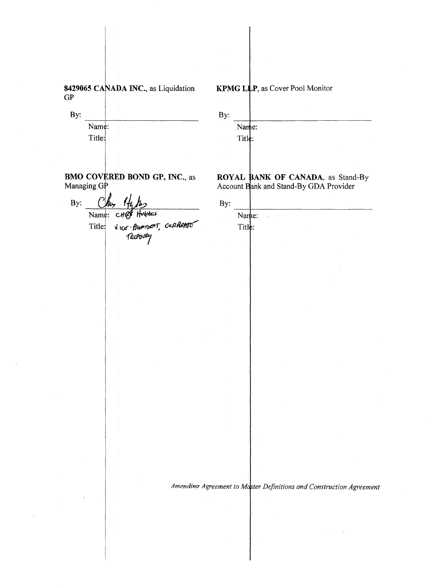8429065 CANADA INC., as Liquidation  $GP$ 

By: Name: Title:

**BMO COVERED BOND GP, INC., as** Managing GP

 $By:$  $\int f_{\mu\nu}$  $\mathcal{L}$  $H$  $v$ *ares* Name: CHP

Vice-PRESIDENT, CORRENTE Title: TROPOURY

KPMG LLP, as Cover Pool Monitor

| By: |                        |  |  |            |  |
|-----|------------------------|--|--|------------|--|
|     | Name:                  |  |  |            |  |
|     | $T$ itl $\dot{\phi}$ : |  |  |            |  |
|     |                        |  |  | <b>ALC</b> |  |

ROYAL BANK OF CANADA, as Stand-By Account Bank and Stand-By GDA Provider

| By: |        |   |  | . . |  |
|-----|--------|---|--|-----|--|
|     | Name:  | ٠ |  |     |  |
|     | Title: |   |  |     |  |
|     |        |   |  |     |  |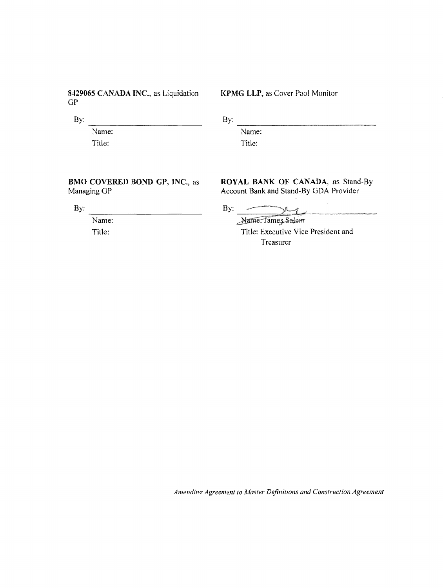8429065 CANADA INC., as Liquidation  $GP$ 

By:

Name: Title:

KPMG LLP, as Cover Pool Monitor

By:

Name: Title:

BMO COVERED BOND GP, INC., as

By:

Managing GP

Name: Title:

ROYAL BANK OF CANADA, as Stand-By Account Bank and Stand-By GDA Provider

By:  $\frac{1}{\sqrt{2\pi}}$ 

Nature: James Salem

Title: Executive Vice President and Treasurer